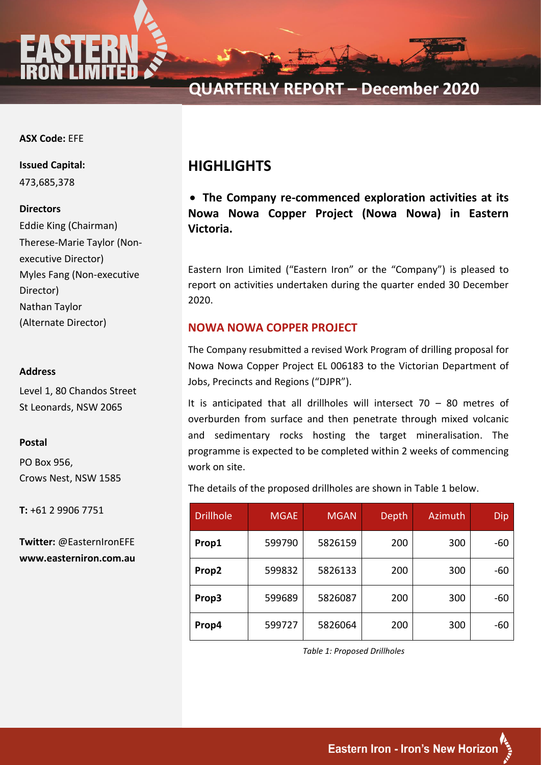

**QUARTERLY REPORT – December 2020**

### **ASX Code:** EFE

**ASX Code:** EFE **Issued Capital:** 473,685,378

#### **Directors**

**Share Price at**  Eddie King (Chairman) Therese-Marie Taylor (Non-**CACCALLE** DIL COLOR Director) Glenn Goodacre - Chairmann Chairmann<br>Chairmann Goodacre - Chairmann Chairmann Chairmann Chairmann Chairmann Chairmann Chairmann Chairmann Chairmann Nathan Taylor<br>Nathan Director (Alternate Director) executive Director) Myles Fang (Non-executive

#### **Address**

Level 1, 80 Chandos Street St Leonards, NSW 2065 Fergus.ross@sdir.com.au

#### **Postal**  $\mathbf{L}$  because  $\mathbf{L}$

PO Box 956, Crows Nest, NSW 1585

T: +61 2 9906 7751

**Twitter:** @EasternIronEFE **www.easterniron.com.au www.easterniron.com.au**

# **HIGHLIGHTS**

• **The Company re-commenced exploration activities at its Nowa Nowa Copper Project (Nowa Nowa) in Eastern Victoria.**

Eastern Iron Limited ("Eastern Iron" or the "Company") is pleased to report on activities undertaken during the quarter ended 30 December 2020.

# **NOWA NOWA COPPER PROJECT**

The Company resubmitted a revised Work Program of drilling proposal for Nowa Nowa Copper Project EL 006183 to the Victorian Department of Jobs, Precincts and Regions ("DJPR").

It is anticipated that all drillholes will intersect  $70 - 80$  metres of overburden from surface and then penetrate through mixed volcanic and sedimentary rocks hosting the target mineralisation. The programme is expected to be completed within 2 weeks of commencing work on site.

The details of the proposed drillholes are shown in Table 1 below.

| <b>Drillhole</b> | <b>MGAE</b> | <b>MGAN</b> | Depth | Azimuth | Dip   |
|------------------|-------------|-------------|-------|---------|-------|
| Prop1            | 599790      | 5826159     | 200   | 300     | $-60$ |
| Prop2            | 599832      | 5826133     | 200   | 300     | $-60$ |
| Prop3            | 599689      | 5826087     | 200   | 300     | $-60$ |
| Prop4            | 599727      | 5826064     | 200   | 300     | $-60$ |

*Table 1: Proposed Drillholes*